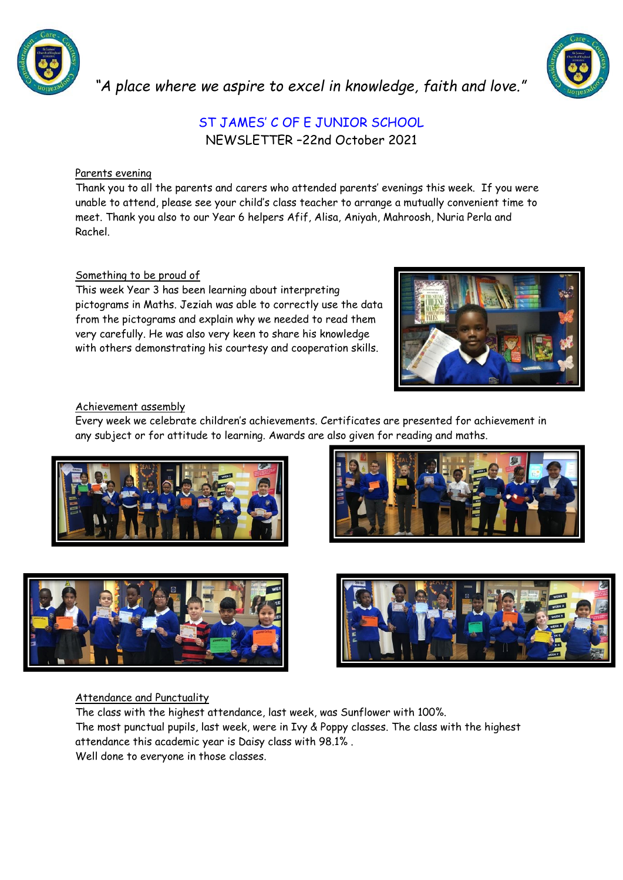



*"A place where we aspire to excel in knowledge, faith and love."*

# ST JAMES' C OF E JUNIOR SCHOOL NEWSLETTER –22nd October 2021

### Parents evening

Thank you to all the parents and carers who attended parents' evenings this week. If you were unable to attend, please see your child's class teacher to arrange a mutually convenient time to meet. Thank you also to our Year 6 helpers Afif, Alisa, Aniyah, Mahroosh, Nuria Perla and Rachel.

### Something to be proud of

This week Year 3 has been learning about interpreting pictograms in Maths. Jeziah was able to correctly use the data from the pictograms and explain why we needed to read them very carefully. He was also very keen to share his knowledge with others demonstrating his courtesy and cooperation skills.



### Achievement assembly

Every week we celebrate children's achievements. Certificates are presented for achievement in any subject or for attitude to learning. Awards are also given for reading and maths.









## Attendance and Punctuality

The class with the highest attendance, last week, was Sunflower with 100%. The most punctual pupils, last week, were in Ivy & Poppy classes. The class with the highest attendance this academic year is Daisy class with 98.1% . Well done to everyone in those classes.